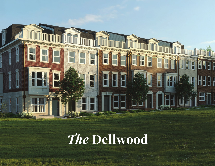

# *The* **Dellwood**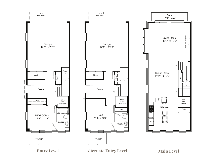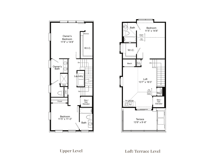



ALTERNATIVE ENTRY LOGIC CONDUCT LEVEL  $\rm{Loff/Termce}$  I **Upper Level Loft/Terrace Level**